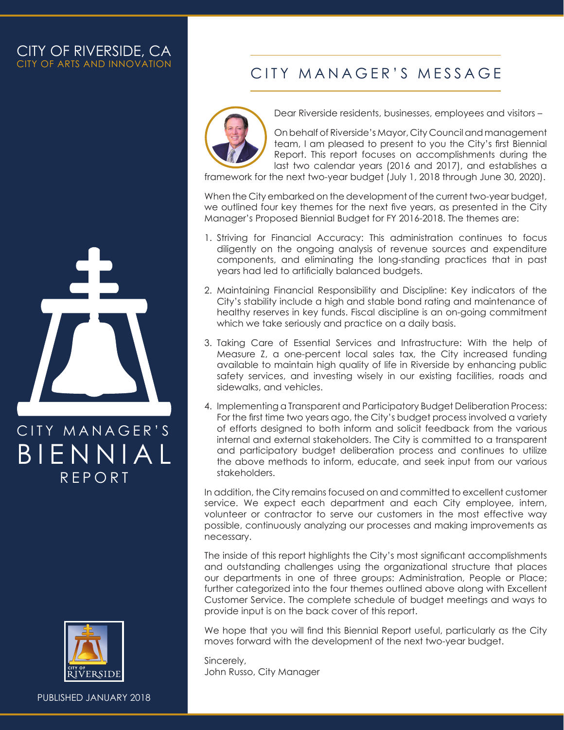#### CITY OF RIVERSIDE, CA CITY OF ARTS AND INNOVATION



REPORT BIENNIAL



PUBLISHED JANUARY 2018

### CITY MANAGER'S MESSAGE



Dear Riverside residents, businesses, employees and visitors –

On behalf of Riverside's Mayor, City Council and management team, I am pleased to present to you the City's first Biennial Report. This report focuses on accomplishments during the last two calendar years (2016 and 2017), and establishes a

framework for the next two-year budget (July 1, 2018 through June 30, 2020).

When the City embarked on the development of the current two-year budget, we outlined four key themes for the next five years, as presented in the City Manager's Proposed Biennial Budget for FY 2016-2018. The themes are:

- 1. Striving for Financial Accuracy: This administration continues to focus diligently on the ongoing analysis of revenue sources and expenditure components, and eliminating the long-standing practices that in past years had led to artificially balanced budgets.
- 2. Maintaining Financial Responsibility and Discipline: Key indicators of the City's stability include a high and stable bond rating and maintenance of healthy reserves in key funds. Fiscal discipline is an on-going commitment which we take seriously and practice on a daily basis.
- 3. Taking Care of Essential Services and Infrastructure: With the help of Measure Z, a one-percent local sales tax, the City increased funding available to maintain high quality of life in Riverside by enhancing public safety services, and investing wisely in our existing facilities, roads and sidewalks, and vehicles.
- 4. Implementing a Transparent and Participatory Budget Deliberation Process: For the first time two years ago, the City's budget process involved a variety of efforts designed to both inform and solicit feedback from the various internal and external stakeholders. The City is committed to a transparent and participatory budget deliberation process and continues to utilize the above methods to inform, educate, and seek input from our various stakeholders.

In addition, the City remains focused on and committed to excellent customer service. We expect each department and each City employee, intern, volunteer or contractor to serve our customers in the most effective way possible, continuously analyzing our processes and making improvements as necessary.

The inside of this report highlights the City's most significant accomplishments and outstanding challenges using the organizational structure that places our departments in one of three groups: Administration, People or Place; further categorized into the four themes outlined above along with Excellent Customer Service. The complete schedule of budget meetings and ways to provide input is on the back cover of this report.

We hope that you will find this Biennial Report useful, particularly as the City moves forward with the development of the next two-year budget.

Sincerely, John Russo, City Manager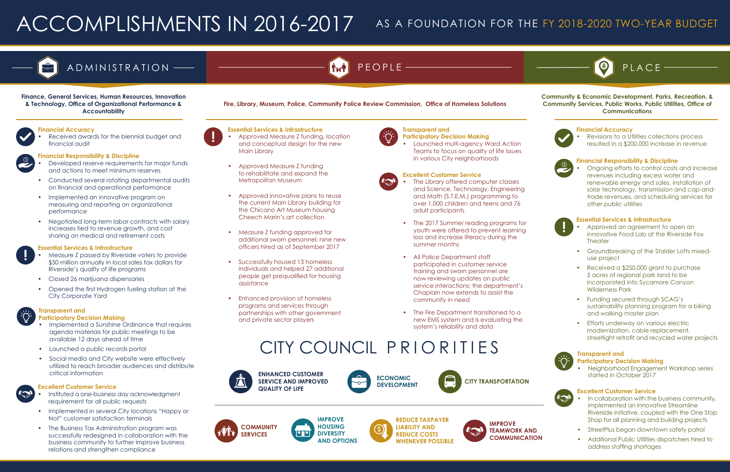# ACCOMPLISHMENTS IN 2016-2017 AS A FOUNDATION FOR THE FY 2018-2020 TWO-YEAR BUDGET



# ADMINISTRATION — **Example 20** PEOPLE —



#### **Essential Services & Infrastructure**

- Measure Z passed by Riverside voters to provide \$50 million annually in local sales tax dollars for Riverside's quality of life programs
- Closed 26 marijuana dispensaries
- Opened the first Hydrogen fueling station at the City Corporate Yard

**Financial Accuracy**

• Received awards for the biennial budget and financial audit

- **Excellent Customer Service**
- Instituted a one-business day acknowledgment requirement for all public requests
- Implemented in several City locations "Happy or Not" customer satisfaction terminals
- The Business Tax Administration program was successfully redesigned in collaboration with the business community to further improve business relations and strengthen compliance



#### **Transparent and**

**Participatory Decision Making**

- Implemented a Sunshine Ordinance that requires agenda materials for public meetings to be available 12 days ahead of time
- Launched a public records portal
- Social media and City website were effectively utilized to reach broader audiences and distribute critical information

#### **Financial Responsibility & Discipline**

- Developed reserve requirements for major funds and actions to meet minimum reserves
- Conducted several rotating departmental audits on financial and operational performance
- Implemented an innovative program on measuring and reporting on organizational performance
- Negotiated long-term labor contracts with salary increases tied to revenue growth, and cost sharing on medical and retirement costs
- The Library offered computer classes and Science, Technology, Engineering and Math (S.T.E.M.) programming to over 1,000 children and teens and 76 adult participants
- The 2017 Summer reading programs for youth were offered to prevent learning loss and increase literacy during the summer months
- All Police Department staff participated in customer service training and sworn personnel are now reviewing updates on public service interactions; the department's Chaplain now extends to assist the community in need
- The Fire Department transitioned to a new EMS system and is evaluating the system's reliability and data

#### **Essential Services & Infrastructure**

- Approved Measure Z funding, location and conceptual design for the new Main Library
- Approved Measure Z funding to rehabilitate and expand the Metropolitan Museum
- Approved innovative plans to reuse the current Main Library building for the Chicano Art Museum housing Cheech Marin's art collection
- Measure Z funding approved for additional sworn personnel; nine new officers hired as of September 2017
- Successfully housed 13 homeless individuals and helped 27 additional people get prequalified for housing assistance
- Enhanced provision of homeless programs and services through partnerships with other government and private sector players



#### **Transparent and**

**Participatory Decision Making**

• Launched multi-agency Ward Action Teams to focus on quality of life issues in various City neighborhoods

#### **Excellent Customer Service**

#### **Finance, General Services, Human Resources, Innovation & Technology, Office of Organizational Performance & Accountability**

#### **Essential Services & Infrastructure**

- Approved an agreement to open an innovative Food Lab at the Riverside Fox **Theater**
- Groundbreaking of the Stalder Lofts mixeduse project
- Received a \$250,000 grant to purchase 5 acres of regional park land to be incorporated into Sycamore Canyon Wilderness Park
- Funding secured through SCAG's sustainability planning program for a biking and walking master plan
- Efforts underway on various electric modernization, cable replacement, streetlight retrofit and recycled water projects



#### **Financial Accuracy**

• Revisions to a Utilities collections process resulted in a \$200,000 increase in revenue



#### **Financial Responsibility & Discipline**

• Ongoing efforts to control costs and increase revenues including excess water and renewable energy and sales, installation of solar technology, transmission and cap-andtrade revenues, and scheduling services for other public utilities



#### **Excellent Customer Service**

- In collaboration with the business community, implemented an innovative Streamline Riverside initiative, coupled with the One Stop Shop for all planning and building projects
- StreetPlus began downtown safety patrol
- Additional Public Utilities dispatchers hired to address staffing shortages

#### **Transparent and Participatory Decision Making**

• Neighborhood Engagement Workshop series started in October 2017



**Community & Economic Development, Parks, Recreation, & Community Services, Public Works, Public Utilities, Office of Communications**



PLACE





**ENHANCED CUSTOMER SERVICE AND IMPROVED QUALITY OF LIFE**





**IMPROVE TEAMWORK AND COMMUNICATION**



**REDUCE TAXPAYER LIABILITY AND REDUCE COSTS WHENEVER POSSIBLE**





# CITY COUNCIL PRIORITIES



**Fire, Library, Museum, Police, Community Police Review Commission, Office of Homeless Solutions**